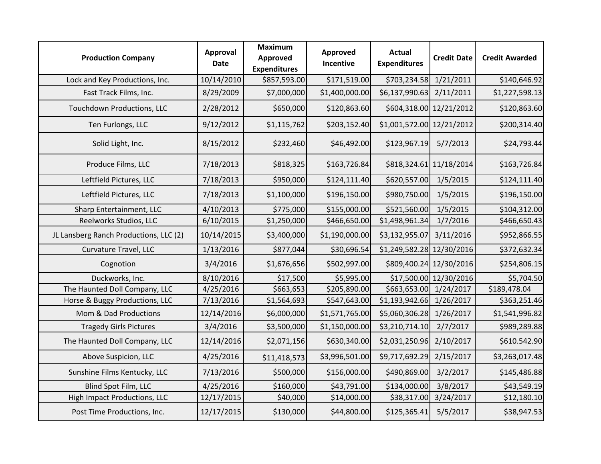| <b>Production Company</b>              | Approval<br><b>Date</b> | <b>Maximum</b><br>Approved<br><b>Expenditures</b> | Approved<br>Incentive | <b>Actual</b><br><b>Expenditures</b> | <b>Credit Date</b>      | <b>Credit Awarded</b> |
|----------------------------------------|-------------------------|---------------------------------------------------|-----------------------|--------------------------------------|-------------------------|-----------------------|
| Lock and Key Productions, Inc.         | 10/14/2010              | \$857,593.00                                      | \$171,519.00          | \$703,234.58                         | 1/21/2011               | \$140,646.92          |
| Fast Track Films, Inc.                 | 8/29/2009               | \$7,000,000                                       | \$1,400,000.00        | \$6,137,990.63                       | 2/11/2011               | \$1,227,598.13        |
| Touchdown Productions, LLC             | 2/28/2012               | \$650,000                                         | \$120,863.60          | \$604,318.00 12/21/2012              |                         | \$120,863.60          |
| Ten Furlongs, LLC                      | 9/12/2012               | \$1,115,762                                       | \$203,152.40          | \$1,001,572.00 12/21/2012            |                         | \$200,314.40          |
| Solid Light, Inc.                      | 8/15/2012               | \$232,460                                         | \$46,492.00           | \$123,967.19                         | 5/7/2013                | \$24,793.44           |
| Produce Films, LLC                     | 7/18/2013               | \$818,325                                         | \$163,726.84          | \$818,324.61 11/18/2014              |                         | \$163,726.84          |
| Leftfield Pictures, LLC                | 7/18/2013               | \$950,000                                         | \$124,111.40          | \$620,557.00                         | 1/5/2015                | \$124,111.40          |
| Leftfield Pictures, LLC                | 7/18/2013               | \$1,100,000                                       | \$196,150.00          | \$980,750.00                         | 1/5/2015                | \$196,150.00          |
| Sharp Entertainment, LLC               | 4/10/2013               | \$775,000                                         | \$155,000.00          | \$521,560.00                         | 1/5/2015                | \$104,312.00          |
| Reelworks Studios, LLC                 | 6/10/2015               | \$1,250,000                                       | \$466,650.00          | \$1,498,961.34                       | 1/7/2016                | \$466,650.43          |
| JL Lansberg Ranch Productions, LLC (2) | 10/14/2015              | \$3,400,000                                       | \$1,190,000.00        | \$3,132,955.07                       | 3/11/2016               | \$952,866.55          |
| Curvature Travel, LLC                  | 1/13/2016               | \$877,044                                         | \$30,696.54           | \$1,249,582.28 12/30/2016            |                         | \$372,632.34          |
| Cognotion                              | 3/4/2016                | \$1,676,656                                       | \$502,997.00          |                                      | \$809,400.24 12/30/2016 | \$254,806.15          |
| Duckworks, Inc.                        | 8/10/2016               | \$17,500                                          | \$5,995.00            |                                      | \$17,500.00 12/30/2016  | \$5,704.50            |
| The Haunted Doll Company, LLC          | 4/25/2016               | \$663,653                                         | \$205,890.00          | \$663,653.00 1/24/2017               |                         | \$189,478.04          |
| Horse & Buggy Productions, LLC         | 7/13/2016               | \$1,564,693                                       | \$547,643.00          | \$1,193,942.66 1/26/2017             |                         | \$363,251.46          |
| Mom & Dad Productions                  | 12/14/2016              | \$6,000,000                                       | \$1,571,765.00        | \$5,060,306.28]                      | 1/26/2017               | \$1,541,996.82        |
| <b>Tragedy Girls Pictures</b>          | 3/4/2016                | \$3,500,000                                       | \$1,150,000.00        | \$3,210,714.10                       | 2/7/2017                | \$989,289.88          |
| The Haunted Doll Company, LLC          | 12/14/2016              | \$2,071,156                                       | \$630,340.00          | \$2,031,250.96                       | 2/10/2017               | \$610.542.90          |
| Above Suspicion, LLC                   | 4/25/2016               | \$11,418,573                                      | \$3,996,501.00        | \$9,717,692.29                       | 2/15/2017               | \$3,263,017.48        |
| Sunshine Films Kentucky, LLC           | 7/13/2016               | \$500,000                                         | \$156,000.00          | \$490,869.00                         | 3/2/2017                | \$145,486.88          |
| Blind Spot Film, LLC                   | 4/25/2016               | \$160,000                                         | \$43,791.00           | \$134,000.00                         | 3/8/2017                | \$43,549.19           |
| High Impact Productions, LLC           | 12/17/2015              | \$40,000                                          | \$14,000.00           | \$38,317.00                          | 3/24/2017               | \$12,180.10           |
| Post Time Productions, Inc.            | 12/17/2015              | \$130,000                                         | \$44,800.00           | \$125,365.41                         | 5/5/2017                | \$38,947.53           |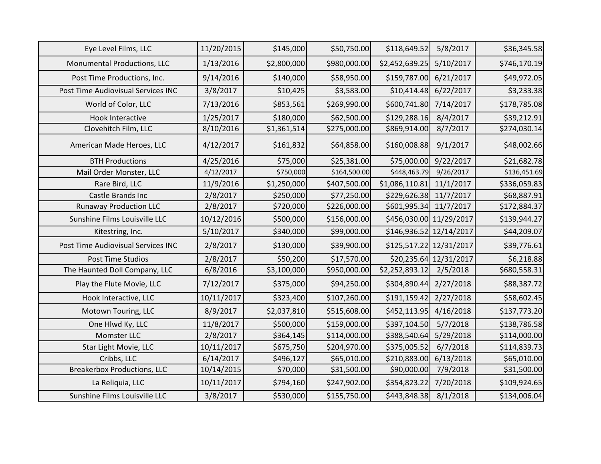| Eye Level Films, LLC               | 11/20/2015 | \$145,000   | \$50,750.00  | \$118,649.52            | 5/8/2017               | \$36,345.58  |
|------------------------------------|------------|-------------|--------------|-------------------------|------------------------|--------------|
| Monumental Productions, LLC        | 1/13/2016  | \$2,800,000 | \$980,000.00 | \$2,452,639.25          | 5/10/2017              | \$746,170.19 |
| Post Time Productions, Inc.        | 9/14/2016  | \$140,000   | \$58,950.00  | \$159,787.00            | 6/21/2017              | \$49,972.05  |
| Post Time Audiovisual Services INC | 3/8/2017   | \$10,425    | \$3,583.00   | \$10,414.48             | 6/22/2017              | \$3,233.38   |
| World of Color, LLC                | 7/13/2016  | \$853,561   | \$269,990.00 | \$600,741.80            | 7/14/2017              | \$178,785.08 |
| <b>Hook Interactive</b>            | 1/25/2017  | \$180,000   | \$62,500.00  | \$129,288.16            | 8/4/2017               | \$39,212.91  |
| Clovehitch Film, LLC               | 8/10/2016  | \$1,361,514 | \$275,000.00 | \$869,914.00            | 8/7/2017               | \$274,030.14 |
| American Made Heroes, LLC          | 4/12/2017  | \$161,832   | \$64,858.00  | \$160,008.88            | 9/1/2017               | \$48,002.66  |
| <b>BTH Productions</b>             | 4/25/2016  | \$75,000    | \$25,381.00  | \$75,000.00             | 9/22/2017              | \$21,682.78  |
| Mail Order Monster, LLC            | 4/12/2017  | \$750,000   | \$164,500.00 | \$448,463.79            | 9/26/2017              | \$136,451.69 |
| Rare Bird, LLC                     | 11/9/2016  | \$1,250,000 | \$407,500.00 | \$1,086,110.81          | 11/1/2017              | \$336,059.83 |
| Castle Brands Inc                  | 2/8/2017   | \$250,000   | \$77,250.00  | \$229,626.38            | 11/7/2017              | \$68,887.91  |
| <b>Runaway Production LLC</b>      | 2/8/2017   | \$720,000   | \$226,000.00 | \$601,995.34 11/7/2017  |                        | \$172,884.37 |
| Sunshine Films Louisville LLC      | 10/12/2016 | \$500,000   | \$156,000.00 | \$456,030.00 11/29/2017 |                        | \$139,944.27 |
| Kitestring, Inc.                   | 5/10/2017  | \$340,000   | \$99,000.00  | \$146,936.52 12/14/2017 |                        | \$44,209.07  |
| Post Time Audiovisual Services INC | 2/8/2017   | \$130,000   | \$39,900.00  | \$125,517.22 12/31/2017 |                        | \$39,776.61  |
| <b>Post Time Studios</b>           | 2/8/2017   | \$50,200    | \$17,570.00  |                         | \$20,235.64 12/31/2017 | \$6,218.88   |
| The Haunted Doll Company, LLC      | 6/8/2016   | \$3,100,000 | \$950,000.00 | \$2,252,893.12          | 2/5/2018               | \$680,558.31 |
| Play the Flute Movie, LLC          | 7/12/2017  | \$375,000   | \$94,250.00  | \$304,890.44]           | 2/27/2018              | \$88,387.72  |
| Hook Interactive, LLC              | 10/11/2017 | \$323,400   | \$107,260.00 | \$191,159.42            | 2/27/2018              | \$58,602.45  |
| Motown Touring, LLC                | 8/9/2017   | \$2,037,810 | \$515,608.00 | \$452,113.95            | 4/16/2018              | \$137,773.20 |
| One Hlwd Ky, LLC                   | 11/8/2017  | \$500,000   | \$159,000.00 | \$397,104.50            | 5/7/2018               | \$138,786.58 |
| Momster LLC                        | 2/8/2017   | \$364,145   | \$114,000.00 | \$388,540.64            | 5/29/2018              | \$114,000.00 |
| Star Light Movie, LLC              | 10/11/2017 | \$675,750   | \$204,970.00 | \$375,005.52            | 6/7/2018               | \$114,839.73 |
| Cribbs, LLC                        | 6/14/2017  | \$496,127   | \$65,010.00  | \$210,883.00            | 6/13/2018              | \$65,010.00  |
| <b>Breakerbox Productions, LLC</b> | 10/14/2015 | \$70,000    | \$31,500.00  | \$90,000.00             | 7/9/2018               | \$31,500.00  |
| La Reliquia, LLC                   | 10/11/2017 | \$794,160   | \$247,902.00 | \$354,823.22            | 7/20/2018              | \$109,924.65 |
| Sunshine Films Louisville LLC      | 3/8/2017   | \$530,000   | \$155,750.00 | \$443,848.38            | 8/1/2018               | \$134,006.04 |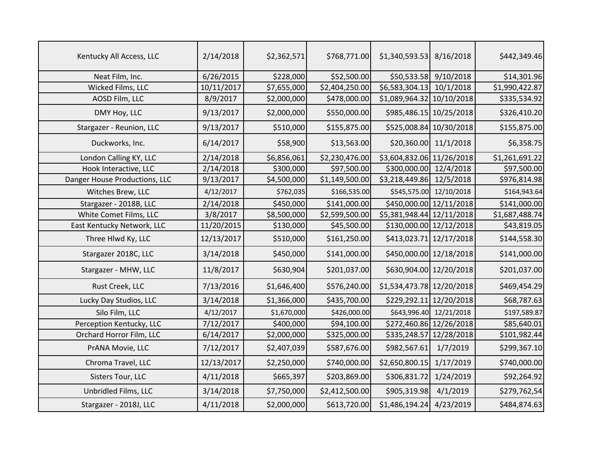| 2/14/2018<br>\$2,362,571<br>\$1,340,593.53<br>8/16/2018<br>Kentucky All Access, LLC<br>\$768,771.00<br>6/26/2015<br>\$52,500.00<br>\$50,533.58<br>9/10/2018<br>Neat Film, Inc.<br>\$228,000<br>\$6,583,304.13<br>10/1/2018<br>Wicked Films, LLC<br>10/11/2017<br>\$7,655,000<br>\$2,404,250.00<br>AOSD Film, LLC<br>8/9/2017<br>\$2,000,000<br>\$478,000.00<br>\$1,089,964.32 10/10/2018<br>9/13/2017<br>\$550,000.00<br>\$985,486.15 10/25/2018<br>DMY Hoy, LLC<br>\$2,000,000<br>\$525,008.84 10/30/2018<br>Stargazer - Reunion, LLC<br>9/13/2017<br>\$510,000<br>\$155,875.00<br>6/14/2017<br>$$20,360.00$ 11/1/2018<br>Duckworks, Inc.<br>\$58,900<br>\$13,563.00<br>\$3,604,832.06 11/26/2018<br>2/14/2018<br>\$6,856,061<br>\$2,230,476.00<br>London Calling KY, LLC<br>Hook Interactive, LLC<br>2/14/2018<br>\$300,000<br>\$97,500.00<br>\$300,000.00]<br>12/4/2018<br>Danger House Productions, LLC<br>9/13/2017<br>\$4,500,000<br>\$1,149,500.00<br>\$3,218,449.86<br>12/5/2018<br>\$166,535.00<br>\$545,575.00 12/10/2018<br>Witches Brew, LLC<br>4/12/2017<br>\$762,035<br>\$141,000.00<br>\$450,000.00 12/11/2018<br>Stargazer - 2018B, LLC<br>2/14/2018<br>\$450,000<br>\$5,381,948.44 12/11/2018<br>White Comet Films, LLC<br>3/8/2017<br>\$8,500,000<br>\$2,599,500.00<br>East Kentucky Network, LLC<br>\$45,500.00<br>\$130,000.00 12/12/2018<br>11/20/2015<br>\$130,000<br>\$413,023.71 12/17/2018<br>Three Hlwd Ky, LLC<br>12/13/2017<br>\$161,250.00<br>\$510,000<br>\$450,000.00 12/18/2018<br>Stargazer 2018C, LLC<br>3/14/2018<br>\$450,000<br>\$141,000.00<br>\$630,904.00 12/20/2018<br>11/8/2017<br>\$630,904<br>\$201,037.00<br>Stargazer - MHW, LLC<br>7/13/2016<br>\$1,646,400<br>\$576,240.00<br>\$1,534,473.78 12/20/2018<br>Rust Creek, LLC<br>\$435,700.00<br>\$229,292.11 12/20/2018<br>Lucky Day Studios, LLC<br>3/14/2018<br>\$1,366,000<br>\$643,996.40 12/21/2018<br>Silo Film, LLC<br>4/12/2017<br>\$426,000.00<br>\$1,670,000<br>\$94,100.00<br>\$272,460.86 12/26/2018<br>Perception Kentucky, LLC<br>7/12/2017<br>\$400,000<br>Orchard Horror Film, LLC<br>6/14/2017<br>\$2,000,000<br>\$325,000.00<br>\$335,248.57 12/28/2018<br>\$982,567.61<br>1/7/2019<br>PrANA Movie, LLC<br>7/12/2017<br>\$2,407,039<br>\$587,676.00 |  |  |  |                |
|---------------------------------------------------------------------------------------------------------------------------------------------------------------------------------------------------------------------------------------------------------------------------------------------------------------------------------------------------------------------------------------------------------------------------------------------------------------------------------------------------------------------------------------------------------------------------------------------------------------------------------------------------------------------------------------------------------------------------------------------------------------------------------------------------------------------------------------------------------------------------------------------------------------------------------------------------------------------------------------------------------------------------------------------------------------------------------------------------------------------------------------------------------------------------------------------------------------------------------------------------------------------------------------------------------------------------------------------------------------------------------------------------------------------------------------------------------------------------------------------------------------------------------------------------------------------------------------------------------------------------------------------------------------------------------------------------------------------------------------------------------------------------------------------------------------------------------------------------------------------------------------------------------------------------------------------------------------------------------------------------------------------------------------------------------------------------------------------------------------------------------------------------------------------------------------------------------------------------------------------------------------------|--|--|--|----------------|
|                                                                                                                                                                                                                                                                                                                                                                                                                                                                                                                                                                                                                                                                                                                                                                                                                                                                                                                                                                                                                                                                                                                                                                                                                                                                                                                                                                                                                                                                                                                                                                                                                                                                                                                                                                                                                                                                                                                                                                                                                                                                                                                                                                                                                                                                     |  |  |  | \$442,349.46   |
|                                                                                                                                                                                                                                                                                                                                                                                                                                                                                                                                                                                                                                                                                                                                                                                                                                                                                                                                                                                                                                                                                                                                                                                                                                                                                                                                                                                                                                                                                                                                                                                                                                                                                                                                                                                                                                                                                                                                                                                                                                                                                                                                                                                                                                                                     |  |  |  | \$14,301.96    |
|                                                                                                                                                                                                                                                                                                                                                                                                                                                                                                                                                                                                                                                                                                                                                                                                                                                                                                                                                                                                                                                                                                                                                                                                                                                                                                                                                                                                                                                                                                                                                                                                                                                                                                                                                                                                                                                                                                                                                                                                                                                                                                                                                                                                                                                                     |  |  |  | \$1,990,422.87 |
|                                                                                                                                                                                                                                                                                                                                                                                                                                                                                                                                                                                                                                                                                                                                                                                                                                                                                                                                                                                                                                                                                                                                                                                                                                                                                                                                                                                                                                                                                                                                                                                                                                                                                                                                                                                                                                                                                                                                                                                                                                                                                                                                                                                                                                                                     |  |  |  | \$335,534.92   |
|                                                                                                                                                                                                                                                                                                                                                                                                                                                                                                                                                                                                                                                                                                                                                                                                                                                                                                                                                                                                                                                                                                                                                                                                                                                                                                                                                                                                                                                                                                                                                                                                                                                                                                                                                                                                                                                                                                                                                                                                                                                                                                                                                                                                                                                                     |  |  |  | \$326,410.20   |
|                                                                                                                                                                                                                                                                                                                                                                                                                                                                                                                                                                                                                                                                                                                                                                                                                                                                                                                                                                                                                                                                                                                                                                                                                                                                                                                                                                                                                                                                                                                                                                                                                                                                                                                                                                                                                                                                                                                                                                                                                                                                                                                                                                                                                                                                     |  |  |  | \$155,875.00   |
|                                                                                                                                                                                                                                                                                                                                                                                                                                                                                                                                                                                                                                                                                                                                                                                                                                                                                                                                                                                                                                                                                                                                                                                                                                                                                                                                                                                                                                                                                                                                                                                                                                                                                                                                                                                                                                                                                                                                                                                                                                                                                                                                                                                                                                                                     |  |  |  | \$6,358.75     |
|                                                                                                                                                                                                                                                                                                                                                                                                                                                                                                                                                                                                                                                                                                                                                                                                                                                                                                                                                                                                                                                                                                                                                                                                                                                                                                                                                                                                                                                                                                                                                                                                                                                                                                                                                                                                                                                                                                                                                                                                                                                                                                                                                                                                                                                                     |  |  |  | \$1,261,691.22 |
|                                                                                                                                                                                                                                                                                                                                                                                                                                                                                                                                                                                                                                                                                                                                                                                                                                                                                                                                                                                                                                                                                                                                                                                                                                                                                                                                                                                                                                                                                                                                                                                                                                                                                                                                                                                                                                                                                                                                                                                                                                                                                                                                                                                                                                                                     |  |  |  | \$97,500.00    |
|                                                                                                                                                                                                                                                                                                                                                                                                                                                                                                                                                                                                                                                                                                                                                                                                                                                                                                                                                                                                                                                                                                                                                                                                                                                                                                                                                                                                                                                                                                                                                                                                                                                                                                                                                                                                                                                                                                                                                                                                                                                                                                                                                                                                                                                                     |  |  |  | \$976,814.98   |
|                                                                                                                                                                                                                                                                                                                                                                                                                                                                                                                                                                                                                                                                                                                                                                                                                                                                                                                                                                                                                                                                                                                                                                                                                                                                                                                                                                                                                                                                                                                                                                                                                                                                                                                                                                                                                                                                                                                                                                                                                                                                                                                                                                                                                                                                     |  |  |  | \$164,943.64   |
|                                                                                                                                                                                                                                                                                                                                                                                                                                                                                                                                                                                                                                                                                                                                                                                                                                                                                                                                                                                                                                                                                                                                                                                                                                                                                                                                                                                                                                                                                                                                                                                                                                                                                                                                                                                                                                                                                                                                                                                                                                                                                                                                                                                                                                                                     |  |  |  | \$141,000.00   |
|                                                                                                                                                                                                                                                                                                                                                                                                                                                                                                                                                                                                                                                                                                                                                                                                                                                                                                                                                                                                                                                                                                                                                                                                                                                                                                                                                                                                                                                                                                                                                                                                                                                                                                                                                                                                                                                                                                                                                                                                                                                                                                                                                                                                                                                                     |  |  |  | \$1,687,488.74 |
|                                                                                                                                                                                                                                                                                                                                                                                                                                                                                                                                                                                                                                                                                                                                                                                                                                                                                                                                                                                                                                                                                                                                                                                                                                                                                                                                                                                                                                                                                                                                                                                                                                                                                                                                                                                                                                                                                                                                                                                                                                                                                                                                                                                                                                                                     |  |  |  | \$43,819.05    |
|                                                                                                                                                                                                                                                                                                                                                                                                                                                                                                                                                                                                                                                                                                                                                                                                                                                                                                                                                                                                                                                                                                                                                                                                                                                                                                                                                                                                                                                                                                                                                                                                                                                                                                                                                                                                                                                                                                                                                                                                                                                                                                                                                                                                                                                                     |  |  |  | \$144,558.30   |
|                                                                                                                                                                                                                                                                                                                                                                                                                                                                                                                                                                                                                                                                                                                                                                                                                                                                                                                                                                                                                                                                                                                                                                                                                                                                                                                                                                                                                                                                                                                                                                                                                                                                                                                                                                                                                                                                                                                                                                                                                                                                                                                                                                                                                                                                     |  |  |  | \$141,000.00   |
|                                                                                                                                                                                                                                                                                                                                                                                                                                                                                                                                                                                                                                                                                                                                                                                                                                                                                                                                                                                                                                                                                                                                                                                                                                                                                                                                                                                                                                                                                                                                                                                                                                                                                                                                                                                                                                                                                                                                                                                                                                                                                                                                                                                                                                                                     |  |  |  | \$201,037.00   |
|                                                                                                                                                                                                                                                                                                                                                                                                                                                                                                                                                                                                                                                                                                                                                                                                                                                                                                                                                                                                                                                                                                                                                                                                                                                                                                                                                                                                                                                                                                                                                                                                                                                                                                                                                                                                                                                                                                                                                                                                                                                                                                                                                                                                                                                                     |  |  |  | \$469,454.29   |
|                                                                                                                                                                                                                                                                                                                                                                                                                                                                                                                                                                                                                                                                                                                                                                                                                                                                                                                                                                                                                                                                                                                                                                                                                                                                                                                                                                                                                                                                                                                                                                                                                                                                                                                                                                                                                                                                                                                                                                                                                                                                                                                                                                                                                                                                     |  |  |  | \$68,787.63    |
|                                                                                                                                                                                                                                                                                                                                                                                                                                                                                                                                                                                                                                                                                                                                                                                                                                                                                                                                                                                                                                                                                                                                                                                                                                                                                                                                                                                                                                                                                                                                                                                                                                                                                                                                                                                                                                                                                                                                                                                                                                                                                                                                                                                                                                                                     |  |  |  | \$197,589.87   |
|                                                                                                                                                                                                                                                                                                                                                                                                                                                                                                                                                                                                                                                                                                                                                                                                                                                                                                                                                                                                                                                                                                                                                                                                                                                                                                                                                                                                                                                                                                                                                                                                                                                                                                                                                                                                                                                                                                                                                                                                                                                                                                                                                                                                                                                                     |  |  |  | \$85,640.01    |
|                                                                                                                                                                                                                                                                                                                                                                                                                                                                                                                                                                                                                                                                                                                                                                                                                                                                                                                                                                                                                                                                                                                                                                                                                                                                                                                                                                                                                                                                                                                                                                                                                                                                                                                                                                                                                                                                                                                                                                                                                                                                                                                                                                                                                                                                     |  |  |  | \$101,982.44   |
|                                                                                                                                                                                                                                                                                                                                                                                                                                                                                                                                                                                                                                                                                                                                                                                                                                                                                                                                                                                                                                                                                                                                                                                                                                                                                                                                                                                                                                                                                                                                                                                                                                                                                                                                                                                                                                                                                                                                                                                                                                                                                                                                                                                                                                                                     |  |  |  | \$299,367.10   |
| Chroma Travel, LLC<br>12/13/2017<br>\$740,000.00<br>\$2,650,800.15<br>1/17/2019<br>\$2,250,000                                                                                                                                                                                                                                                                                                                                                                                                                                                                                                                                                                                                                                                                                                                                                                                                                                                                                                                                                                                                                                                                                                                                                                                                                                                                                                                                                                                                                                                                                                                                                                                                                                                                                                                                                                                                                                                                                                                                                                                                                                                                                                                                                                      |  |  |  | \$740,000.00   |
| 4/11/2018<br>\$203,869.00<br>\$306,831.72<br>1/24/2019<br>Sisters Tour, LLC<br>\$665,397                                                                                                                                                                                                                                                                                                                                                                                                                                                                                                                                                                                                                                                                                                                                                                                                                                                                                                                                                                                                                                                                                                                                                                                                                                                                                                                                                                                                                                                                                                                                                                                                                                                                                                                                                                                                                                                                                                                                                                                                                                                                                                                                                                            |  |  |  | \$92,264.92    |
| 4/1/2019<br>3/14/2018<br>\$2,412,500.00<br>\$905,319.98<br>Unbridled Films, LLC<br>\$7,750,000                                                                                                                                                                                                                                                                                                                                                                                                                                                                                                                                                                                                                                                                                                                                                                                                                                                                                                                                                                                                                                                                                                                                                                                                                                                                                                                                                                                                                                                                                                                                                                                                                                                                                                                                                                                                                                                                                                                                                                                                                                                                                                                                                                      |  |  |  | \$279,762,54   |
| 4/11/2018<br>\$613,720.00<br>\$1,486,194.24<br>4/23/2019<br>Stargazer - 2018J, LLC<br>\$2,000,000                                                                                                                                                                                                                                                                                                                                                                                                                                                                                                                                                                                                                                                                                                                                                                                                                                                                                                                                                                                                                                                                                                                                                                                                                                                                                                                                                                                                                                                                                                                                                                                                                                                                                                                                                                                                                                                                                                                                                                                                                                                                                                                                                                   |  |  |  | \$484,874.63   |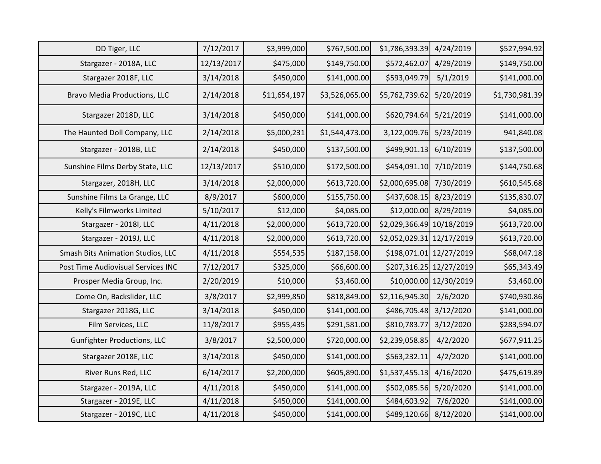| 7/12/2017<br>\$3,999,000<br>DD Tiger, LLC<br>Stargazer - 2018A, LLC<br>12/13/2017<br>\$475,000<br>Stargazer 2018F, LLC<br>3/14/2018<br>\$450,000<br><b>Bravo Media Productions, LLC</b><br>2/14/2018<br>\$11,654,197 | \$767,500.00<br>\$149,750.00<br>\$141,000.00<br>\$3,526,065.00<br>\$141,000.00 | \$1,786,393.39<br>\$572,462.07<br>\$593,049.79<br>\$5,762,739.62 | 4/24/2019<br>4/29/2019<br>5/1/2019<br>5/20/2019 | \$527,994.92<br>\$149,750.00<br>\$141,000.00<br>\$1,730,981.39 |
|----------------------------------------------------------------------------------------------------------------------------------------------------------------------------------------------------------------------|--------------------------------------------------------------------------------|------------------------------------------------------------------|-------------------------------------------------|----------------------------------------------------------------|
|                                                                                                                                                                                                                      |                                                                                |                                                                  |                                                 |                                                                |
|                                                                                                                                                                                                                      |                                                                                |                                                                  |                                                 |                                                                |
|                                                                                                                                                                                                                      |                                                                                |                                                                  |                                                 |                                                                |
|                                                                                                                                                                                                                      |                                                                                |                                                                  |                                                 |                                                                |
| Stargazer 2018D, LLC<br>3/14/2018<br>\$450,000                                                                                                                                                                       |                                                                                | \$620,794.64                                                     | 5/21/2019                                       | \$141,000.00                                                   |
| The Haunted Doll Company, LLC<br>\$5,000,231<br>2/14/2018                                                                                                                                                            | \$1,544,473.00                                                                 | 3,122,009.76                                                     | 5/23/2019                                       | 941,840.08                                                     |
| 2/14/2018<br>\$450,000<br>Stargazer - 2018B, LLC                                                                                                                                                                     | \$137,500.00                                                                   | \$499,901.13                                                     | 6/10/2019                                       | \$137,500.00                                                   |
| Sunshine Films Derby State, LLC<br>12/13/2017<br>\$510,000                                                                                                                                                           | \$172,500.00                                                                   | \$454,091.10                                                     | 7/10/2019                                       | \$144,750.68                                                   |
| \$2,000,000<br>Stargazer, 2018H, LLC<br>3/14/2018                                                                                                                                                                    | \$613,720.00                                                                   | \$2,000,695.08                                                   | 7/30/2019                                       | \$610,545.68                                                   |
| Sunshine Films La Grange, LLC<br>8/9/2017<br>\$600,000                                                                                                                                                               | \$155,750.00                                                                   | \$437,608.15                                                     | 8/23/2019                                       | \$135,830.07                                                   |
| Kelly's Filmworks Limited<br>5/10/2017<br>\$12,000                                                                                                                                                                   | \$4,085.00                                                                     | \$12,000.00                                                      | 8/29/2019                                       | \$4,085.00                                                     |
| \$2,000,000<br>Stargazer - 2018I, LLC<br>4/11/2018                                                                                                                                                                   | \$613,720.00                                                                   | \$2,029,366.49 10/18/2019                                        |                                                 | \$613,720.00                                                   |
| 4/11/2018<br>\$2,000,000<br>Stargazer - 2019J, LLC                                                                                                                                                                   | \$613,720.00                                                                   | \$2,052,029.31 12/17/2019                                        |                                                 | \$613,720.00                                                   |
| 4/11/2018<br><b>Smash Bits Animation Studios, LLC</b><br>\$554,535                                                                                                                                                   | \$187,158.00                                                                   | \$198,071.01 12/27/2019                                          |                                                 | \$68,047.18                                                    |
| Post Time Audiovisual Services INC<br>7/12/2017<br>\$325,000                                                                                                                                                         | \$66,600.00                                                                    | \$207,316.25 12/27/2019                                          |                                                 | \$65,343.49                                                    |
| Prosper Media Group, Inc.<br>2/20/2019<br>\$10,000                                                                                                                                                                   | \$3,460.00                                                                     |                                                                  | \$10,000.00 12/30/2019                          | \$3,460.00                                                     |
| Come On, Backslider, LLC<br>3/8/2017<br>\$2,999,850                                                                                                                                                                  | \$818,849.00                                                                   | \$2,116,945.30                                                   | 2/6/2020                                        | \$740,930.86                                                   |
| 3/14/2018<br>Stargazer 2018G, LLC<br>\$450,000                                                                                                                                                                       | \$141,000.00                                                                   | \$486,705.48                                                     | 3/12/2020                                       | \$141,000.00                                                   |
| Film Services, LLC<br>11/8/2017<br>\$955,435                                                                                                                                                                         | \$291,581.00                                                                   | \$810,783.77                                                     | 3/12/2020                                       | \$283,594.07                                                   |
| <b>Gunfighter Productions, LLC</b><br>3/8/2017<br>\$2,500,000                                                                                                                                                        | \$720,000.00                                                                   | \$2,239,058.85                                                   | 4/2/2020                                        | \$677,911.25                                                   |
| \$450,000<br>Stargazer 2018E, LLC<br>3/14/2018                                                                                                                                                                       | \$141,000.00                                                                   | \$563,232.11                                                     | 4/2/2020                                        | \$141,000.00                                                   |
| River Runs Red, LLC<br>6/14/2017<br>\$2,200,000                                                                                                                                                                      | \$605,890.00                                                                   | \$1,537,455.13                                                   | 4/16/2020                                       | \$475,619.89                                                   |
| 4/11/2018<br>Stargazer - 2019A, LLC<br>\$450,000                                                                                                                                                                     | \$141,000.00                                                                   | \$502,085.56                                                     | 5/20/2020                                       | \$141,000.00                                                   |
| Stargazer - 2019E, LLC<br>4/11/2018<br>\$450,000                                                                                                                                                                     | \$141,000.00                                                                   | \$484,603.92                                                     | 7/6/2020                                        | \$141,000.00                                                   |
| Stargazer - 2019C, LLC<br>4/11/2018<br>\$450,000                                                                                                                                                                     | \$141,000.00                                                                   | \$489,120.66                                                     | 8/12/2020                                       | \$141,000.00                                                   |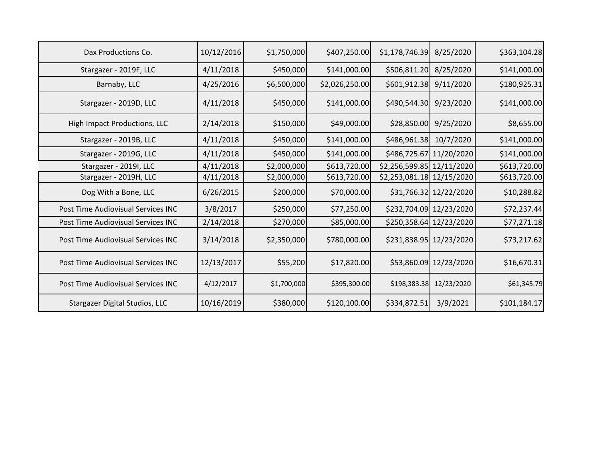| Dax Productions Co.                | 10/12/2016 | \$1,750,000 | \$407,250.00   | \$1,178,746.39            | 8/25/2020               | \$363,104.28 |
|------------------------------------|------------|-------------|----------------|---------------------------|-------------------------|--------------|
| Stargazer - 2019F, LLC             | 4/11/2018  | \$450,000   | \$141,000.00   | \$506,811.20              | 8/25/2020               | \$141,000.00 |
| Barnaby, LLC                       | 4/25/2016  | \$6,500,000 | \$2,026,250.00 | \$601,912.38              | 9/11/2020               | \$180,925.31 |
| Stargazer - 2019D, LLC             | 4/11/2018  | \$450,000   | \$141,000.00   | \$490,544.30              | 9/23/2020               | \$141,000.00 |
| High Impact Productions, LLC       | 2/14/2018  | \$150,000   | \$49,000.00    | \$28,850.00               | 9/25/2020               | \$8,655.00   |
| Stargazer - 2019B, LLC             | 4/11/2018  | \$450,000   | \$141,000.00   | \$486,961.38              | 10/7/2020               | \$141,000.00 |
| Stargazer - 2019G, LLC             | 4/11/2018  | \$450,000   | \$141,000.00   |                           | \$486,725.67 11/20/2020 | \$141,000.00 |
| Stargazer - 2019I, LLC             | 4/11/2018  | \$2,000,000 | \$613,720.00   | \$2,256,599.85 12/11/2020 |                         | \$613,720.00 |
| Stargazer - 2019H, LLC             | 4/11/2018  | \$2,000,000 | \$613,720.00   | \$2,253,081.18 12/15/2020 |                         | \$613,720.00 |
| Dog With a Bone, LLC               | 6/26/2015  | \$200,000   | \$70,000.00    |                           | \$31,766.32 12/22/2020  | \$10,288.82  |
| Post Time Audiovisual Services INC | 3/8/2017   | \$250,000   | \$77,250.00    |                           | \$232,704.09 12/23/2020 | \$72,237.44  |
| Post Time Audiovisual Services INC | 2/14/2018  | \$270,000   | \$85,000.00    | \$250,358.64 12/23/2020   |                         | \$77,271.18  |
| Post Time Audiovisual Services INC | 3/14/2018  | \$2,350,000 | \$780,000.00   |                           | \$231,838.95 12/23/2020 | \$73,217.62  |
| Post Time Audiovisual Services INC | 12/13/2017 | \$55,200    | \$17,820.00    |                           | \$53,860.09 12/23/2020  | \$16,670.31  |
| Post Time Audiovisual Services INC | 4/12/2017  | \$1,700,000 | \$395,300.00   | \$198,383.38              | 12/23/2020              | \$61,345.79  |
| Stargazer Digital Studios, LLC     | 10/16/2019 | \$380,000   | \$120,100.00   | \$334,872.51              | 3/9/2021                | \$101,184.17 |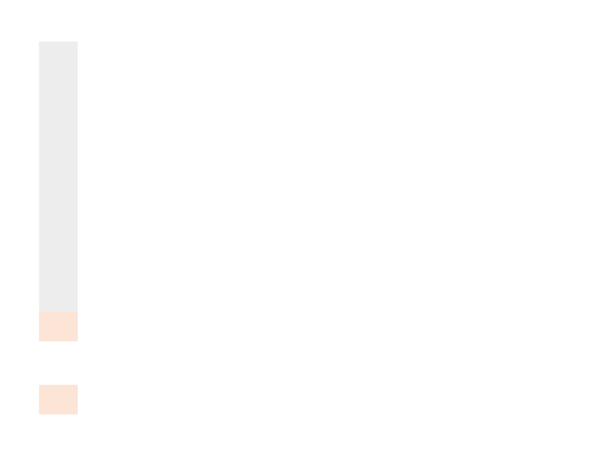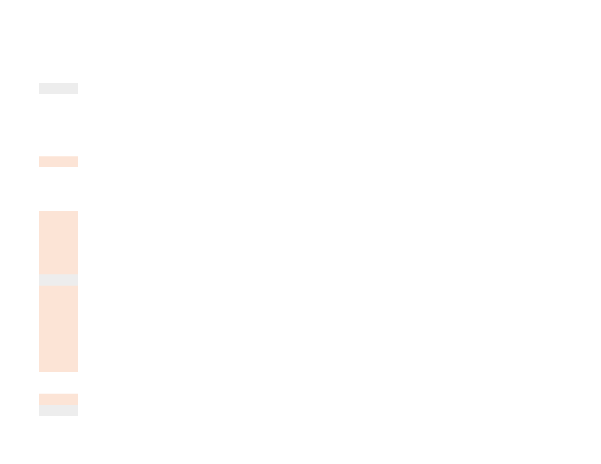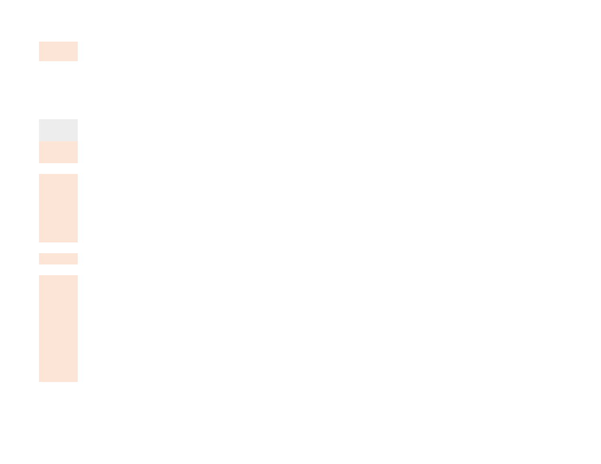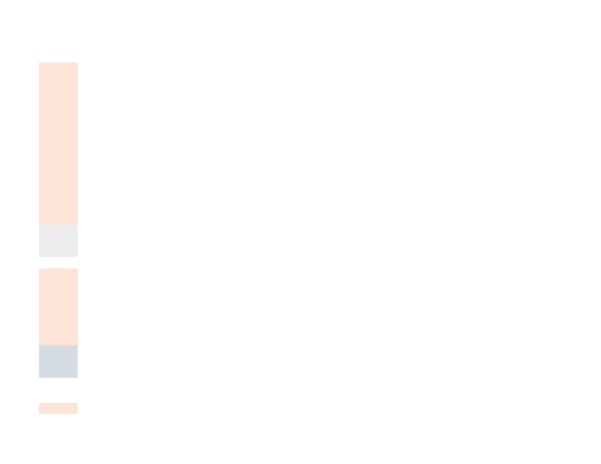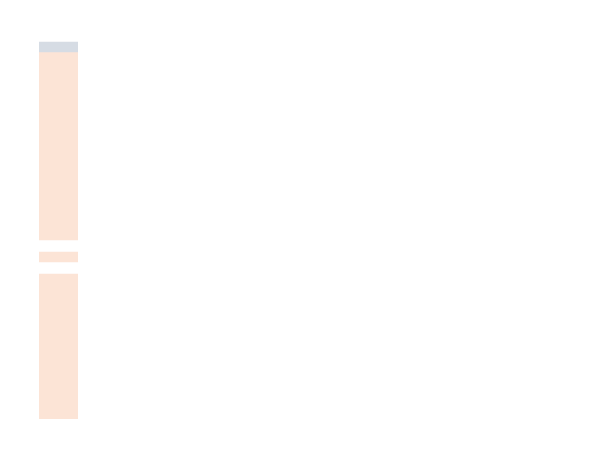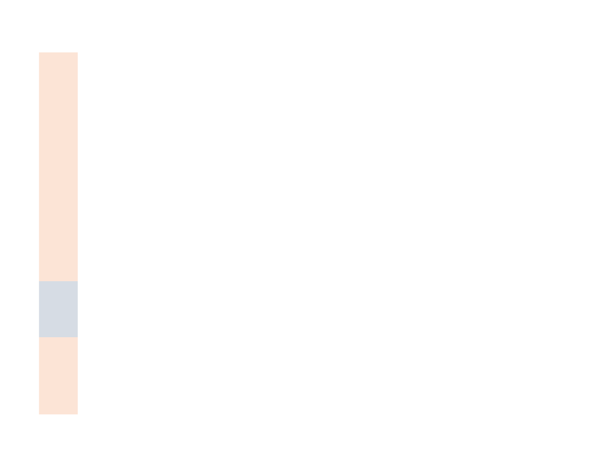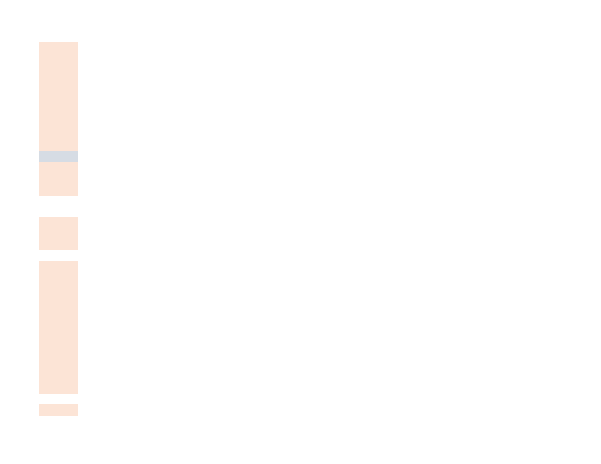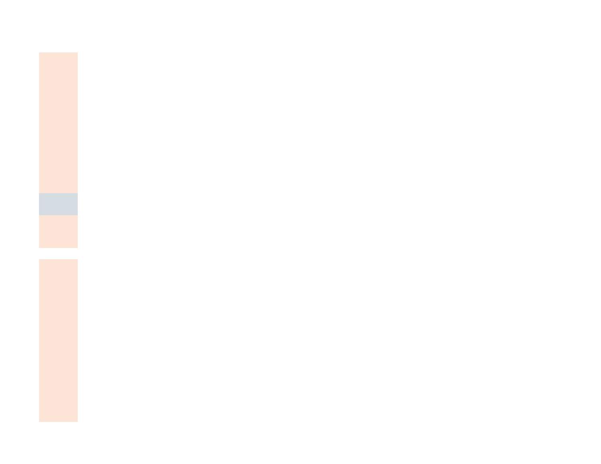